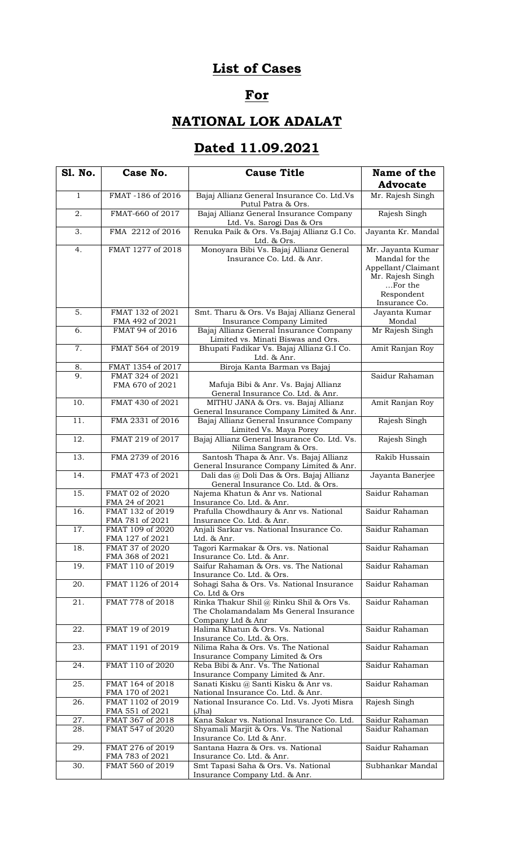## **List of Cases**

## **For**

## **NATIONAL LOK ADALAT**

## **Dated 11.09.2021**

| <b>S1. No.</b>    | Case No.                             | <b>Cause Title</b>                                                                                     | Name of the                                                                                                             |
|-------------------|--------------------------------------|--------------------------------------------------------------------------------------------------------|-------------------------------------------------------------------------------------------------------------------------|
|                   |                                      |                                                                                                        | <b>Advocate</b>                                                                                                         |
| $\mathbf{1}$      | FMAT -186 of 2016                    | Bajaj Allianz General Insurance Co. Ltd.Vs<br>Putul Patra & Ors.                                       | Mr. Rajesh Singh                                                                                                        |
| 2.                | FMAT-660 of 2017                     | Bajaj Allianz General Insurance Company<br>Ltd. Vs. Sarogi Das & Ors                                   | Rajesh Singh                                                                                                            |
| 3.                | FMA 2212 of 2016                     | Renuka Paik & Ors. Vs. Bajaj Allianz G.I Co.<br>Ltd. & Ors.                                            | Jayanta Kr. Mandal                                                                                                      |
| 4.                | FMAT 1277 of 2018                    | Monoyara Bibi Vs. Bajaj Allianz General<br>Insurance Co. Ltd. & Anr.                                   | Mr. Jayanta Kumar<br>Mandal for the<br>Appellant/Claimant<br>Mr. Rajesh Singh<br>For the<br>Respondent<br>Insurance Co. |
| 5.                | FMAT 132 of 2021                     | Smt. Tharu & Ors. Vs Bajaj Allianz General                                                             | Jayanta Kumar                                                                                                           |
| 6.                | FMA 492 of 2021<br>FMAT 94 of 2016   | Insurance Company Limited<br>Bajaj Allianz General Insurance Company                                   | Mondal<br>Mr Rajesh Singh                                                                                               |
|                   |                                      | Limited vs. Minati Biswas and Ors.                                                                     |                                                                                                                         |
| 7.                | FMAT 564 of 2019                     | Bhupati Fadikar Vs. Bajaj Allianz G.I Co.<br>Ltd. & Anr.                                               | Amit Ranjan Roy                                                                                                         |
| 8.                | FMAT 1354 of 2017                    | Biroja Kanta Barman vs Bajaj                                                                           |                                                                                                                         |
| 9.                | FMAT 324 of 2021<br>FMA 670 of 2021  | Mafuja Bibi & Anr. Vs. Bajaj Allianz<br>General Insurance Co. Ltd. & Anr.                              | Saidur Rahaman                                                                                                          |
| 10.               | FMAT 430 of 2021                     | MITHU JANA & Ors. vs. Bajaj Allianz<br>General Insurance Company Limited & Anr.                        | Amit Ranjan Roy                                                                                                         |
| $\overline{11}$ . | FMA 2331 of 2016                     | Bajaj Allianz General Insurance Company<br>Limited Vs. Maya Porey                                      | Rajesh Singh                                                                                                            |
| 12.               | FMAT 219 of 2017                     | Bajaj Allianz General Insurance Co. Ltd. Vs.<br>Nilima Sangram & Ors.                                  | Rajesh Singh                                                                                                            |
| $\overline{13}$ . | FMA 2739 of 2016                     | Santosh Thapa & Anr. Vs. Bajaj Allianz<br>General Insurance Company Limited & Anr.                     | Rakib Hussain                                                                                                           |
| 14.               | FMAT 473 of 2021                     | Dali das @ Doli Das & Ors. Bajaj Allianz<br>General Insurance Co. Ltd. & Ors.                          | Jayanta Banerjee                                                                                                        |
| 15.               | FMAT 02 of 2020<br>FMA 24 of 2021    | Najema Khatun & Anr vs. National<br>Insurance Co. Ltd. & Anr.                                          | Saidur Rahaman                                                                                                          |
| 16.               | FMAT 132 of 2019<br>FMA 781 of 2021  | Prafulla Chowdhaury & Anr vs. National<br>Insurance Co. Ltd. & Anr.                                    | Saidur Rahaman                                                                                                          |
| 17.               | FMAT 109 of 2020<br>FMA 127 of 2021  | Anjali Sarkar vs. National Insurance Co.<br>Ltd. & Anr.                                                | Saidur Rahaman                                                                                                          |
| 18.               | FMAT 37 of 2020<br>FMA 368 of 2021   | Tagori Karmakar & Ors. vs. National<br>Insurance Co. Ltd. & Anr.                                       | Saidur Rahaman                                                                                                          |
| 19.               | FMAT 110 of 2019                     | Saifur Rahaman & Ors. vs. The National<br>Insurance Co. Ltd. & Ors.                                    | Saidur Rahaman                                                                                                          |
| 20.               | FMAT 1126 of 2014                    | Sohagi Saha & Ors. Vs. National Insurance<br>Co. Ltd & Ors                                             | Saidur Rahaman                                                                                                          |
| 21.               | FMAT 778 of 2018                     | Rinka Thakur Shil@ Rinku Shil & Ors Vs.<br>The Cholamandalam Ms General Insurance<br>Company Ltd & Anr | Saidur Rahaman                                                                                                          |
| 22.               | FMAT 19 of 2019                      | Halima Khatun & Ors. Vs. National<br>Insurance Co. Ltd. & Ors.                                         | Saidur Rahaman                                                                                                          |
| 23.               | FMAT 1191 of 2019                    | Nilima Raha & Ors. Vs. The National<br>Insurance Company Limited & Ors                                 | Saidur Rahaman                                                                                                          |
| 24.               | FMAT 110 of 2020                     | Reba Bibi & Anr. Vs. The National<br>Insurance Company Limited & Anr.                                  | Saidur Rahaman                                                                                                          |
| 25.               | FMAT 164 of 2018<br>FMA 170 of 2021  | Sanati Kisku @ Santi Kisku & Anr vs.<br>National Insurance Co. Ltd. & Anr.                             | Saidur Rahaman                                                                                                          |
| 26.               | FMAT 1102 of 2019<br>FMA 551 of 2021 | National Insurance Co. Ltd. Vs. Jyoti Misra<br>Jha)                                                    | Rajesh Singh                                                                                                            |
| 27.               | FMAT 367 of 2018                     | Kana Sakar vs. National Insurance Co. Ltd.                                                             | Saidur Rahaman                                                                                                          |
| 28.               | FMAT 547 of 2020                     | Shyamali Marjit & Ors. Vs. The National<br>Insurance Co. Ltd & Anr.                                    | Saidur Rahaman                                                                                                          |
| 29.               | FMAT 276 of 2019<br>FMA 783 of 2021  | Santana Hazra & Ors. vs. National<br>Insurance Co. Ltd. & Anr.                                         | Saidur Rahaman                                                                                                          |
| $\overline{3}0.$  | FMAT 560 of 2019                     | Smt Tapasi Saha & Ors. Vs. National<br>Insurance Company Ltd. & Anr.                                   | Subhankar Mandal                                                                                                        |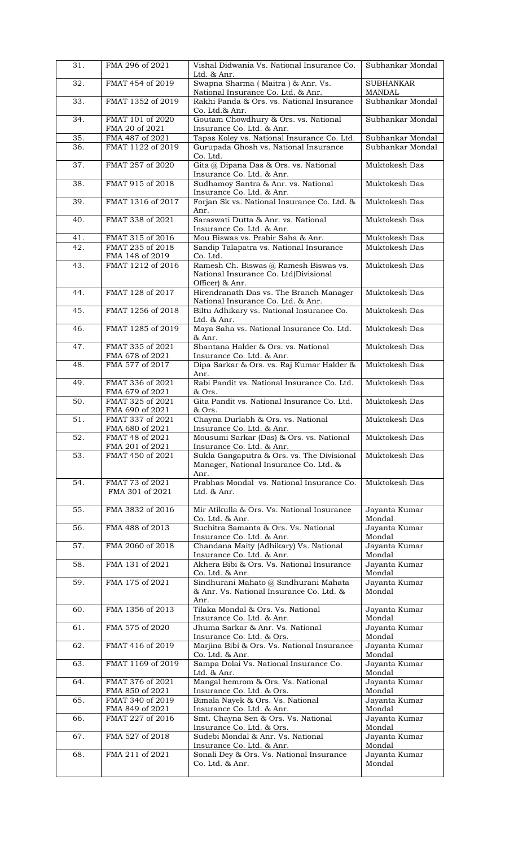| 31.               | FMA 296 of 2021                     | Vishal Didwania Vs. National Insurance Co.<br>Ltd. & Anr.                                         | Subhankar Mondal                  |
|-------------------|-------------------------------------|---------------------------------------------------------------------------------------------------|-----------------------------------|
| 32.               | FMAT 454 of 2019                    | Swapna Sharma (Maitra) & Anr. Vs.                                                                 | <b>SUBHANKAR</b>                  |
| 33.               | FMAT 1352 of 2019                   | National Insurance Co. Ltd. & Anr.<br>Rakhi Panda & Ors. vs. National Insurance                   | <b>MANDAL</b><br>Subhankar Mondal |
| 34.               | FMAT 101 of 2020<br>FMA 20 of 2021  | Co. Ltd.& Anr.<br>Goutam Chowdhury & Ors. vs. National                                            | Subhankar Mondal                  |
| 35.               | FMA 487 of 2021                     | Insurance Co. Ltd. & Anr.<br>Tapas Koley vs. National Insurance Co. Ltd.                          | Subhankar Mondal                  |
| 36.               | FMAT 1122 of 2019                   | Gurupada Ghosh vs. National Insurance                                                             | Subhankar Mondal                  |
| 37.               | FMAT 257 of 2020                    | Co. Ltd.<br>Gita @ Dipana Das & Ors. vs. National                                                 | Muktokesh Das                     |
|                   |                                     | Insurance Co. Ltd. & Anr.                                                                         |                                   |
| 38.               | FMAT 915 of 2018                    | Sudhamoy Santra & Anr. vs. National<br>Insurance Co. Ltd. & Anr.                                  | Muktokesh Das                     |
| 39.               | FMAT 1316 of 2017                   | Forjan Sk vs. National Insurance Co. Ltd. &<br>Anr.                                               | Muktokesh Das                     |
| 40.               | FMAT 338 of 2021                    | Saraswati Dutta & Anr. vs. National<br>Insurance Co. Ltd. & Anr.                                  | Muktokesh Das                     |
| 41.               | FMAT 315 of 2016                    | Mou Biswas vs. Prabir Saha & Anr.                                                                 | Muktokesh Das                     |
| 42.               | FMAT 235 of 2018<br>FMA 148 of 2019 | Sandip Talapatra vs. National Insurance<br>Co. Ltd.                                               | Muktokesh Das                     |
| 43.               | FMAT 1212 of 2016                   | Ramesh Ch. Biswas @ Ramesh Biswas vs.<br>National Insurance Co. Ltd(Divisional<br>Officer) & Anr. | Muktokesh Das                     |
| 44.               | FMAT 128 of 2017                    | Hirendranath Das vs. The Branch Manager<br>National Insurance Co. Ltd. & Anr.                     | Muktokesh Das                     |
| 45.               | FMAT 1256 of 2018                   | Biltu Adhikary vs. National Insurance Co.<br>Ltd. & Anr.                                          | Muktokesh Das                     |
| 46.               | FMAT 1285 of 2019                   | Maya Saha vs. National Insurance Co. Ltd.<br>& Anr.                                               | Muktokesh Das                     |
| 47.               | FMAT 335 of 2021<br>FMA 678 of 2021 | Shantana Halder & Ors. vs. National<br>Insurance Co. Ltd. & Anr.                                  | Muktokesh Das                     |
| 48.               | FMA 577 of 2017                     | Dipa Sarkar & Ors. vs. Raj Kumar Halder &<br>Anr.                                                 | Muktokesh Das                     |
| 49.               | FMAT 336 of 2021<br>FMA 679 of 2021 | Rabi Pandit vs. National Insurance Co. Ltd.<br>& Ors.                                             | Muktokesh Das                     |
| 50.               | FMAT 325 of 2021<br>FMA 690 of 2021 | Gita Pandit vs. National Insurance Co. Ltd.<br>& Ors.                                             | Muktokesh Das                     |
| 51.               | FMAT 337 of 2021<br>FMA 680 of 2021 | Chayna Durlabh & Ors. vs. National<br>Insurance Co. Ltd. & Anr.                                   | Muktokesh Das                     |
| $\overline{52}$ . | FMAT 48 of 2021<br>FMA 201 of 2021  | Mousumi Sarkar (Das) & Ors. vs. National<br>Insurance Co. Ltd. & Anr.                             | Muktokesh Das                     |
| 53.               | FMAT 450 of 2021                    | Sukla Gangaputra & Ors. vs. The Divisional<br>Manager, National Insurance Co. Ltd. &<br>Anr.      | Muktokesh Das                     |
| 54.               | FMAT 73 of 2021<br>FMA 301 of 2021  | Prabhas Mondal vs. National Insurance Co.<br>Ltd. & Anr.                                          | Muktokesh Das                     |
| 55.               | FMA 3832 of 2016                    | Mir Atikulla & Ors. Vs. National Insurance<br>Co. Ltd. & Anr.                                     | Jayanta Kumar<br>Mondal           |
| 56.               | FMA 488 of 2013                     | Suchitra Samanta & Ors. Vs. National<br>Insurance Co. Ltd. & Anr.                                 | Jayanta Kumar<br>Mondal           |
| 57.               | FMA 2060 of 2018                    | Chandana Maity (Adhikary) Vs. National<br>Insurance Co. Ltd. & Anr.                               | Jayanta Kumar<br>Mondal           |
| 58.               | FMA 131 of 2021                     | Akhera Bibi & Ors. Vs. National Insurance<br>Co. Ltd. & Anr.                                      | Jayanta Kumar<br>Mondal           |
| 59.               | FMA 175 of 2021                     | Sindhurani Mahato @ Sindhurani Mahata<br>& Anr. Vs. National Insurance Co. Ltd. &<br>Anr.         | Jayanta Kumar<br>Mondal           |
| 60.               | FMA 1356 of 2013                    | Tilaka Mondal & Ors. Vs. National<br>Insurance Co. Ltd. & Anr.                                    | Jayanta Kumar<br>Mondal           |
| 61.               | FMA 575 of 2020                     | Jhuma Sarkar & Anr. Vs. National<br>Insurance Co. Ltd. & Ors.                                     | Jayanta Kumar<br>Mondal           |
| 62.               | FMAT 416 of 2019                    | Marjina Bibi & Ors. Vs. National Insurance<br>Co. Ltd. & Anr.                                     | Jayanta Kumar<br>Mondal           |
| 63.               | FMAT 1169 of 2019                   | Sampa Dolai Vs. National Insurance Co.<br>Ltd. & Anr.                                             | Jayanta Kumar<br>Mondal           |
| 64.               | FMAT 376 of 2021<br>FMA 850 of 2021 | Mangal hemrom & Ors. Vs. National<br>Insurance Co. Ltd. & Ors.                                    | Jayanta Kumar<br>Mondal           |
| 65.               | FMAT 340 of 2019<br>FMA 849 of 2021 | Bimala Nayek & Ors. Vs. National<br>Insurance Co. Ltd. & Anr.                                     | Jayanta Kumar<br>Mondal           |
| 66.               | FMAT 227 of 2016                    | Smt. Chayna Sen & Ors. Vs. National                                                               | Jayanta Kumar                     |
| 67.               | FMA 527 of 2018                     | Insurance Co. Ltd. & Ors.<br>Sudebi Mondal & Anr. Vs. National                                    | Mondal<br>Jayanta Kumar           |
| 68.               | FMA 211 of 2021                     | Insurance Co. Ltd. & Anr.<br>Sonali Dey & Ors. Vs. National Insurance                             | Mondal<br>Jayanta Kumar           |
|                   |                                     | Co. Ltd. & Anr.                                                                                   | Mondal                            |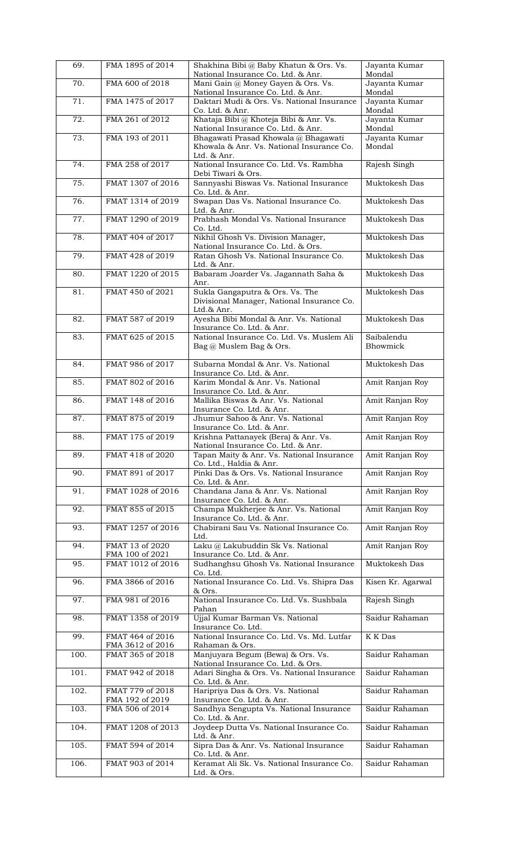| 69.               | FMA 1895 of 2014                     | Shakhina Bibi @ Baby Khatun & Ors. Vs.<br>National Insurance Co. Ltd. & Anr.                | Jayanta Kumar<br>Mondal |
|-------------------|--------------------------------------|---------------------------------------------------------------------------------------------|-------------------------|
| 70.               | FMA 600 of 2018                      | Mani Gain @ Money Gayen & Ors. Vs.<br>National Insurance Co. Ltd. & Anr.                    | Jayanta Kumar<br>Mondal |
| 71.               | FMA 1475 of 2017                     | Daktari Mudi & Ors. Vs. National Insurance<br>Co. Ltd. & Anr.                               | Jayanta Kumar<br>Mondal |
| $\overline{72}$ . | FMA 261 of 2012                      | Khataja Bibi @ Khoteja Bibi & Anr. Vs.<br>National Insurance Co. Ltd. & Anr.                | Jayanta Kumar<br>Mondal |
| 73.               | FMA 193 of 2011                      | Bhagawati Prasad Khowala @ Bhagawati<br>Khowala & Anr. Vs. National Insurance Co.           | Jayanta Kumar<br>Mondal |
| 74.               | FMA 258 of 2017                      | Ltd. & Anr.<br>National Insurance Co. Ltd. Vs. Rambha<br>Debi Tiwari & Ors.                 | Rajesh Singh            |
| 75.               | FMAT 1307 of 2016                    | Sannyashi Biswas Vs. National Insurance<br>Co. Ltd. & Anr.                                  | Muktokesh Das           |
| 76.               | FMAT 1314 of 2019                    | Swapan Das Vs. National Insurance Co.<br>Ltd. & Anr.                                        | Muktokesh Das           |
| 77.               | FMAT 1290 of 2019                    | Prabhash Mondal Vs. National Insurance<br>Co. Ltd.                                          | Muktokesh Das           |
| 78.               | FMAT 404 of 2017                     | Nikhil Ghosh Vs. Division Manager,<br>National Insurance Co. Ltd. & Ors.                    | Muktokesh Das           |
| 79.               | FMAT 428 of 2019                     | Ratan Ghosh Vs. National Insurance Co.<br>Ltd. & Anr.                                       | Muktokesh Das           |
| 80.               | FMAT 1220 of 2015                    | Babaram Joarder Vs. Jagannath Saha &<br>Anr.                                                | Muktokesh Das           |
| 81.               | FMAT 450 of 2021                     | Sukla Gangaputra & Ors. Vs. The<br>Divisional Manager, National Insurance Co.<br>Ltd.& Anr. | Muktokesh Das           |
| 82.               | FMAT 587 of 2019                     | Ayesha Bibi Mondal & Anr. Vs. National<br>Insurance Co. Ltd. & Anr.                         | Muktokesh Das           |
| 83.               | FMAT 625 of 2015                     | National Insurance Co. Ltd. Vs. Muslem Ali<br>Bag @ Muslem Bag & Ors.                       | Saibalendu<br>Bhowmick  |
| 84.               | FMAT 986 of 2017                     | Subarna Mondal & Anr. Vs. National<br>Insurance Co. Ltd. & Anr.                             | Muktokesh Das           |
| 85.               | FMAT 802 of 2016                     | Karim Mondal & Anr. Vs. National<br>Insurance Co. Ltd. & Anr.                               | Amit Ranjan Roy         |
| 86.               | FMAT 148 of 2016                     | Mallika Biswas & Anr. Vs. National<br>Insurance Co. Ltd. & Anr.                             | Amit Ranjan Roy         |
| 87.               | FMAT 875 of 2019                     | Jhumur Sahoo & Anr. Vs. National<br>Insurance Co. Ltd. & Anr.                               | Amit Ranjan Roy         |
| 88.               | FMAT 175 of 2019                     | Krishna Pattanayek (Bera) & Anr. Vs.<br>National Insurance Co. Ltd. & Anr.                  | Amit Ranjan Roy         |
| 89.               | FMAT 418 of 2020                     | Tapan Maity & Anr. Vs. National Insurance<br>Co. Ltd., Haldia & Anr.                        | Amit Ranjan Roy         |
| 90.               | FMAT 891 of 2017                     | Pinki Das & Ors. Vs. National Insurance<br>Co. Ltd. & Anr.                                  | Amit Ranjan Roy         |
| 91.               | FMAT 1028 of 2016                    | Chandana Jana & Anr. Vs. National<br>Insurance Co. Ltd. & Anr.                              | Amit Ranjan Roy         |
| 92.               | FMAT 855 of 2015                     | Champa Mukherjee & Anr. Vs. National<br>Insurance Co. Ltd. & Anr.                           | Amit Ranjan Roy         |
| 93.               | FMAT 1257 of 2016                    | Chabirani Sau Vs. National Insurance Co.<br>Ltd.                                            | Amit Ranjan Roy         |
| 94.               | FMAT 13 of 2020<br>FMA 100 of 2021   | Laku @ Lakubuddin Sk Vs. National<br>Insurance Co. Ltd. & Anr.                              | Amit Ranjan Roy         |
| 95.               | FMAT 1012 of 2016                    | Sudhanghsu Ghosh Vs. National Insurance<br>Co. Ltd.                                         | Muktokesh Das           |
| 96.               | FMA 3866 of 2016                     | National Insurance Co. Ltd. Vs. Shipra Das<br>& Ors.                                        | Kisen Kr. Agarwal       |
| 97.               | FMA 981 of 2016                      | National Insurance Co. Ltd. Vs. Sushbala<br>Pahan                                           | Rajesh Singh            |
| 98.               | FMAT 1358 of 2019                    | Ujjal Kumar Barman Vs. National<br>Insurance Co. Ltd.                                       | Saidur Rahaman          |
| 99.               | FMAT 464 of 2016<br>FMA 3612 of 2016 | National Insurance Co. Ltd. Vs. Md. Lutfar<br>Rahaman & Ors.                                | K K Das                 |
| 100.              | FMAT 365 of 2018                     | Manjuyara Begum (Bewa) & Ors. Vs.<br>National Insurance Co. Ltd. & Ors.                     | Saidur Rahaman          |
| 101.              | FMAT 942 of 2018                     | Adari Singha & Ors. Vs. National Insurance<br>Co. Ltd. & Anr.                               | Saidur Rahaman          |
| 102.              | FMAT 779 of 2018<br>FMA 192 of 2019  | Haripriya Das & Ors. Vs. National<br>Insurance Co. Ltd. & Anr.                              | Saidur Rahaman          |
| 103.              | FMA 506 of 2014                      | Sandhya Sengupta Vs. National Insurance<br>Co. Ltd. & Anr.                                  | Saidur Rahaman          |
| 104.              | FMAT 1208 of 2013                    | Joydeep Dutta Vs. National Insurance Co.<br>Ltd. & Anr.                                     | Saidur Rahaman          |
| 105.              | FMAT 594 of 2014                     | Sipra Das & Anr. Vs. National Insurance<br>Co. Ltd. & Anr.                                  | Saidur Rahaman          |
| 106.              | FMAT 903 of 2014                     | Keramat Ali Sk. Vs. National Insurance Co.<br>Ltd. & Ors.                                   | Saidur Rahaman          |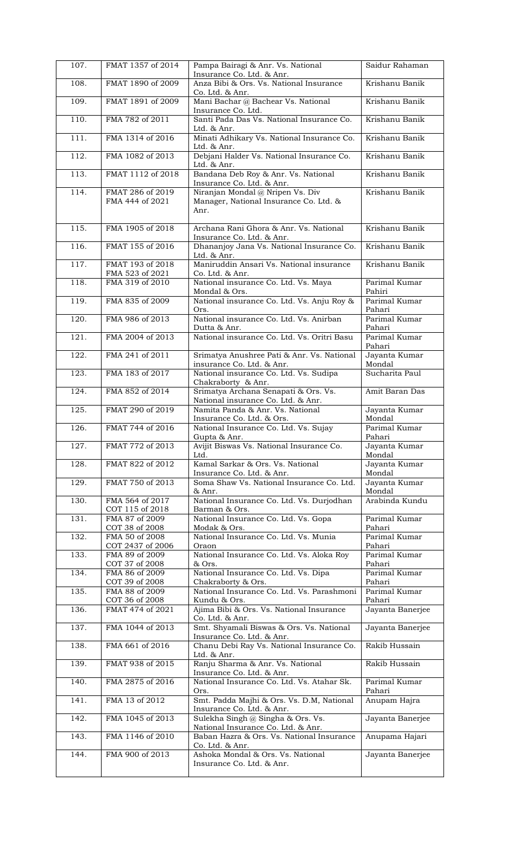| 107. | FMAT 1357 of 2014                   | Pampa Bairagi & Anr. Vs. National<br>Insurance Co. Ltd. & Anr.                     | Saidur Rahaman          |
|------|-------------------------------------|------------------------------------------------------------------------------------|-------------------------|
| 108. | FMAT 1890 of 2009                   | Anza Bibi & Ors. Vs. National Insurance<br>Co. Ltd. & Anr.                         | Krishanu Banik          |
| 109. | FMAT 1891 of 2009                   | Mani Bachar @ Bachear Vs. National                                                 | Krishanu Banik          |
| 110. | FMA 782 of 2011                     | Insurance Co. Ltd.<br>Santi Pada Das Vs. National Insurance Co.<br>Ltd. & Anr.     | Krishanu Banik          |
| 111. | FMA 1314 of 2016                    | Minati Adhikary Vs. National Insurance Co.<br>Ltd. & Anr.                          | Krishanu Banik          |
| 112. | FMA 1082 of 2013                    | Debjani Halder Vs. National Insurance Co.<br>Ltd. & Anr.                           | Krishanu Banik          |
| 113. | FMAT 1112 of 2018                   | Bandana Deb Roy & Anr. Vs. National<br>Insurance Co. Ltd. & Anr.                   | Krishanu Banik          |
| 114. | FMAT 286 of 2019<br>FMA 444 of 2021 | Niranjan Mondal @ Nripen Vs. Div<br>Manager, National Insurance Co. Ltd. &<br>Anr. | Krishanu Banik          |
| 115. | FMA 1905 of 2018                    | Archana Rani Ghora & Anr. Vs. National<br>Insurance Co. Ltd. & Anr.                | Krishanu Banik          |
| 116. | FMAT 155 of 2016                    | Dhananjoy Jana Vs. National Insurance Co.<br>Ltd. & Anr.                           | Krishanu Banik          |
| 117. | FMAT 193 of 2018<br>FMA 523 of 2021 | Maniruddin Ansari Vs. National insurance<br>Co. Ltd. & Anr.                        | Krishanu Banik          |
| 118. | FMA 319 of 2010                     | National insurance Co. Ltd. Vs. Maya<br>Mondal & Ors.                              | Parimal Kumar<br>Pahiri |
| 119. | FMA 835 of 2009                     | National insurance Co. Ltd. Vs. Anju Roy &<br>Ors.                                 | Parimal Kumar<br>Pahari |
| 120. | FMA 986 of 2013                     | National insurance Co. Ltd. Vs. Anirban<br>Dutta & Anr.                            | Parimal Kumar<br>Pahari |
| 121. | FMA 2004 of 2013                    | National insurance Co. Ltd. Vs. Oritri Basu                                        | Parimal Kumar<br>Pahari |
| 122. | FMA 241 of 2011                     | Srimatya Anushree Pati & Anr. Vs. National<br>insurance Co. Ltd. & Anr.            | Jayanta Kumar<br>Mondal |
| 123. | FMA 183 of 2017                     | National insurance Co. Ltd. Vs. Sudipa<br>Chakraborty & Anr.                       | Sucharita Paul          |
| 124. | FMA 852 of 2014                     | Srimatya Archana Senapati & Ors. Vs.<br>National insurance Co. Ltd. & Anr.         | Amit Baran Das          |
| 125. | FMAT 290 of 2019                    | Namita Panda & Anr. Vs. National<br>Insurance Co. Ltd. & Ors.                      | Jayanta Kumar<br>Mondal |
| 126. | FMAT 744 of 2016                    | National Insurance Co. Ltd. Vs. Sujay<br>Gupta & Anr.                              | Parimal Kumar<br>Pahari |
| 127. | FMAT 772 of 2013                    | Avijit Biswas Vs. National Insurance Co.<br>Ltd.                                   | Jayanta Kumar<br>Mondal |
| 128. | FMAT 822 of 2012                    | Kamal Sarkar & Ors. Vs. National<br>Insurance Co. Ltd. & Anr.                      | Jayanta Kumar<br>Mondal |
| 129. | FMAT 750 of 2013                    | Soma Shaw Vs. National Insurance Co. Ltd.<br>& Anr.                                | Jayanta Kumar<br>Mondal |
| 130. | FMA 564 of 2017<br>COT 115 of 2018  | National Insurance Co. Ltd. Vs. Durjodhan<br>Barman & Ors.                         | Arabinda Kundu          |
| 131. | FMA 87 of 2009<br>COT 38 of 2008    | National Insurance Co. Ltd. Vs. Gopa<br>Modak & Ors.                               | Parimal Kumar<br>Pahari |
| 132. | FMA 50 of 2008<br>COT 2437 of 2006  | National Insurance Co. Ltd. Vs. Munia<br>Oraon                                     | Parimal Kumar<br>Pahari |
| 133. | FMA 89 of 2009<br>COT 37 of 2008    | National Insurance Co. Ltd. Vs. Aloka Roy<br>& Ors.                                | Parimal Kumar<br>Pahari |
| 134. | FMA 86 of 2009<br>COT 39 of 2008    | National Insurance Co. Ltd. Vs. Dipa<br>Chakraborty & Ors.                         | Parimal Kumar<br>Pahari |
| 135. | FMA 88 of 2009<br>COT 36 of 2008    | National Insurance Co. Ltd. Vs. Parashmoni<br>Kundu & Ors.                         | Parimal Kumar<br>Pahari |
| 136. | FMAT 474 of 2021                    | Ajima Bibi & Ors. Vs. National Insurance<br>Co. Ltd. & Anr.                        | Jayanta Banerjee        |
| 137. | FMA 1044 of 2013                    | Smt. Shyamali Biswas & Ors. Vs. National<br>Insurance Co. Ltd. & Anr.              | Jayanta Banerjee        |
| 138. | FMA 661 of 2016                     | Chanu Debi Ray Vs. National Insurance Co.<br>Ltd. & Anr.                           | Rakib Hussain           |
| 139. | FMAT 938 of 2015                    | Ranju Sharma & Anr. Vs. National<br>Insurance Co. Ltd. & Anr.                      | Rakib Hussain           |
| 140. | FMA 2875 of 2016                    | National Insurance Co. Ltd. Vs. Atahar Sk.<br>Ors.                                 | Parimal Kumar<br>Pahari |
| 141. | FMA 13 of 2012                      | Smt. Padda Majhi & Ors. Vs. D.M, National<br>Insurance Co. Ltd. & Anr.             | Anupam Hajra            |
| 142. | FMA 1045 of 2013                    | Sulekha Singh @ Singha & Ors. Vs.<br>National Insurance Co. Ltd. & Anr.            | Jayanta Banerjee        |
| 143. | FMA 1146 of 2010                    | Baban Hazra & Ors. Vs. National Insurance<br>Co. Ltd. & Anr.                       | Anupama Hajari          |
| 144. | FMA 900 of 2013                     | Ashoka Mondal & Ors. Vs. National<br>Insurance Co. Ltd. & Anr.                     | Jayanta Banerjee        |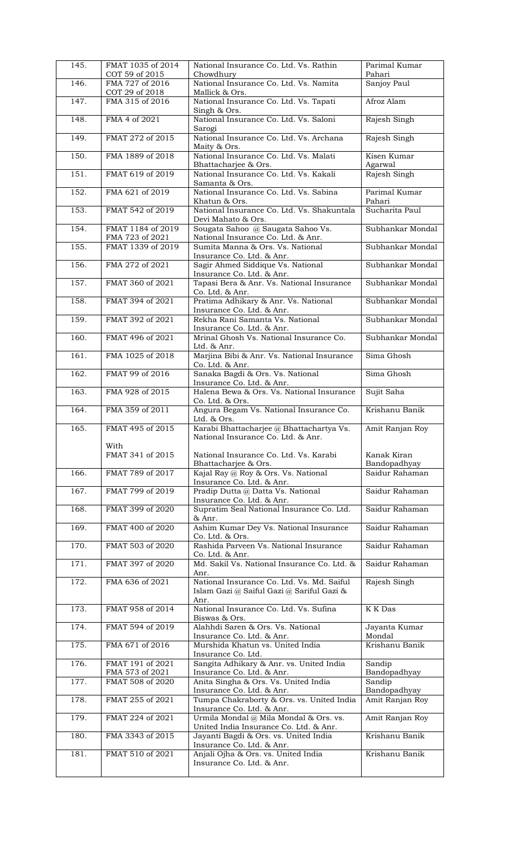| 145. | FMAT 1035 of 2014<br>COT 59 of 2015  | National Insurance Co. Ltd. Vs. Rathin<br>Chowdhury                                     | Parimal Kumar<br>Pahari         |
|------|--------------------------------------|-----------------------------------------------------------------------------------------|---------------------------------|
| 146. | FMA 727 of 2016<br>COT 29 of 2018    | National Insurance Co. Ltd. Vs. Namita<br>Mallick & Ors.                                | Sanjoy Paul                     |
| 147. | FMA 315 of 2016                      | National Insurance Co. Ltd. Vs. Tapati<br>Singh & Ors.                                  | Afroz Alam                      |
| 148. | FMA 4 of 2021                        | National Insurance Co. Ltd. Vs. Saloni<br>Sarogi                                        | Rajesh Singh                    |
| 149. | FMAT 272 of 2015                     | National Insurance Co. Ltd. Vs. Archana<br>Maity & Ors.                                 | Rajesh Singh                    |
| 150. | FMA 1889 of 2018                     | National Insurance Co. Ltd. Vs. Malati<br>Bhattacharjee & Ors.                          | Kisen Kumar                     |
| 151. | FMAT 619 of 2019                     | National Insurance Co. Ltd. Vs. Kakali<br>Samanta & Ors.                                | Agarwal<br>Rajesh Singh         |
| 152. | FMA 621 of 2019                      | National Insurance Co. Ltd. Vs. Sabina                                                  | Parimal Kumar                   |
| 153. | FMAT 542 of 2019                     | Khatun & Ors.<br>National Insurance Co. Ltd. Vs. Shakuntala                             | Pahari<br>Sucharita Paul        |
| 154. | FMAT 1184 of 2019                    | Devi Mahato & Ors.<br>Sougata Sahoo @ Saugata Sahoo Vs.                                 | Subhankar Mondal                |
| 155. | FMA 723 of 2021<br>FMAT 1339 of 2019 | National Insurance Co. Ltd. & Anr.<br>Sumita Manna & Ors. Vs. National                  | Subhankar Mondal                |
| 156. | FMA 272 of 2021                      | Insurance Co. Ltd. & Anr.<br>Sagir Ahmed Siddique Vs. National                          | Subhankar Mondal                |
| 157. | FMAT 360 of 2021                     | Insurance Co. Ltd. & Anr.<br>Tapasi Bera & Anr. Vs. National Insurance                  | Subhankar Mondal                |
| 158. | FMAT 394 of 2021                     | Co. Ltd. & Anr.<br>Pratima Adhikary & Anr. Vs. National                                 | Subhankar Mondal                |
| 159. | FMAT 392 of 2021                     | Insurance Co. Ltd. & Anr.<br>Rekha Rani Samanta Vs. National                            | Subhankar Mondal                |
| 160. | FMAT 496 of 2021                     | Insurance Co. Ltd. & Anr.<br>Mrinal Ghosh Vs. National Insurance Co.                    | Subhankar Mondal                |
| 161. | FMA 1025 of 2018                     | Ltd. & Anr.<br>Marjina Bibi & Anr. Vs. National Insurance                               | Sima Ghosh                      |
| 162. | FMAT 99 of 2016                      | Co. Ltd. & Anr.<br>Sanaka Bagdi & Ors. Vs. National                                     | Sima Ghosh                      |
| 163. | FMA 928 of 2015                      | Insurance Co. Ltd. & Anr.<br>Halena Bewa & Ors. Vs. National Insurance                  | Sujit Saha                      |
| 164. | FMA 359 of 2011                      | Co. Ltd. & Ors.<br>Angura Begam Vs. National Insurance Co.                              | Krishanu Banik                  |
| 165. | FMAT 495 of 2015                     | Ltd. & Ors.<br>Karabi Bhattacharjee @ Bhattachartya Vs.                                 | Amit Ranjan Roy                 |
|      | With                                 | National Insurance Co. Ltd. & Anr.                                                      |                                 |
|      | FMAT 341 of 2015                     | National Insurance Co. Ltd. Vs. Karabi<br>Bhattacharjee & Ors.                          | Kanak Kiran<br>Bandopadhyay     |
| 166. | FMAT 789 of 2017                     | Kajal Ray @ Roy & Ors. Vs. National<br>Insurance Co. Ltd. & Anr.                        | Saidur Rahaman                  |
| 167. | FMAT 799 of 2019                     | Pradip Dutta @ Datta Vs. National<br>Insurance Co. Ltd. & Anr.                          | Saidur Rahaman                  |
| 168. | FMAT 399 of 2020                     | Supratim Seal National Insurance Co. Ltd.<br>& Anr.                                     | Saidur Rahaman                  |
| 169. | FMAT 400 of 2020                     | Ashim Kumar Dey Vs. National Insurance<br>Co. Ltd. & Ors.                               | Saidur Rahaman                  |
| 170. | FMAT 503 of 2020                     | Rashida Parveen Vs. National Insurance<br>Co. Ltd. & Anr.                               | Saidur Rahaman                  |
| 171. | FMAT 397 of 2020                     | Md. Sakil Vs. National Insurance Co. Ltd. &<br>Anr.                                     | Saidur Rahaman                  |
| 172. | FMA 636 of 2021                      | National Insurance Co. Ltd. Vs. Md. Saiful<br>Islam Gazi @ Saiful Gazi @ Sariful Gazi & | Rajesh Singh                    |
| 173. | FMAT 958 of 2014                     | Anr.<br>National Insurance Co. Ltd. Vs. Sufina<br>Biswas & Ors.                         | K K Das                         |
| 174. | FMAT 594 of 2019                     | Alahhdi Saren & Ors. Vs. National<br>Insurance Co. Ltd. & Anr.                          | Jayanta Kumar<br>Mondal         |
| 175. | FMA 671 of 2016                      | Murshida Khatun vs. United India                                                        | Krishanu Banik                  |
| 176. | FMAT 191 of 2021                     | Insurance Co. Ltd.<br>Sangita Adhikary & Anr. vs. United India                          | Sandip                          |
| 177. | FMA 573 of 2021<br>FMAT 508 of 2020  | Insurance Co. Ltd. & Anr.<br>Anita Singha & Ors. Vs. United India                       | Bandopadhyay<br>Sandip          |
| 178. | FMAT 255 of 2021                     | Insurance Co. Ltd. & Anr.<br>Tumpa Chakraborty & Ors. vs. United India                  | Bandopadhyay<br>Amit Ranjan Roy |
| 179. | FMAT 224 of 2021                     | Insurance Co. Ltd. & Anr.<br>Urmila Mondal @ Mila Mondal & Ors. vs.                     | Amit Ranjan Roy                 |
| 180. | FMA 3343 of 2015                     | United India Insurance Co. Ltd. & Anr.<br>Jayanti Bagdi & Ors. vs. United India         | Krishanu Banik                  |
| 181. | FMAT 510 of 2021                     | Insurance Co. Ltd. & Anr.<br>Anjali Ojha & Ors. vs. United India                        | Krishanu Banik                  |
|      |                                      | Insurance Co. Ltd. & Anr.                                                               |                                 |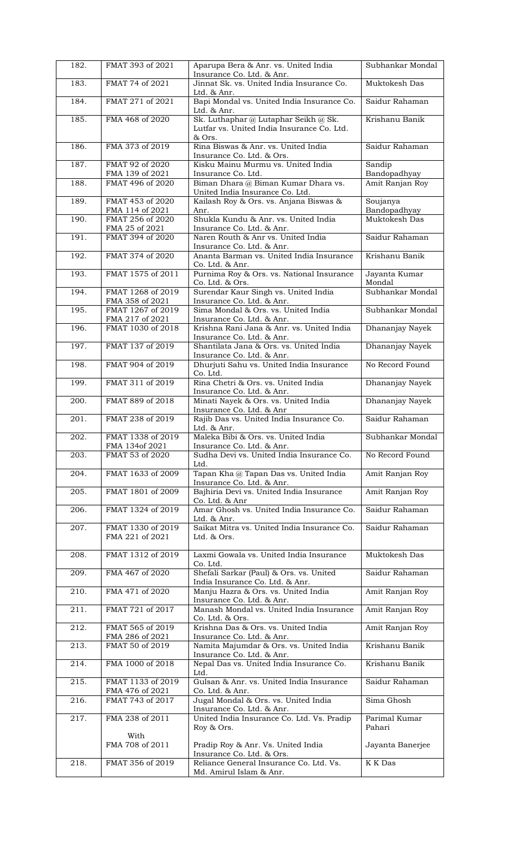| 182. | FMAT 393 of 2021                     | Aparupa Bera & Anr. vs. United India<br>Insurance Co. Ltd. & Anr.                               | Subhankar Mondal         |
|------|--------------------------------------|-------------------------------------------------------------------------------------------------|--------------------------|
| 183. | FMAT 74 of 2021                      | Jinnat Sk. vs. United India Insurance Co.<br>Ltd. & Anr.                                        | Muktokesh Das            |
| 184. | FMAT 271 of 2021                     | Bapi Mondal vs. United India Insurance Co.<br>Ltd. & Anr.                                       | Saidur Rahaman           |
| 185. | FMA 468 of 2020                      | Sk. Luthaphar @ Lutaphar Seikh @ Sk.<br>Lutfar vs. United India Insurance Co. Ltd.<br>& Ors.    | Krishanu Banik           |
| 186. | FMA 373 of 2019                      | Rina Biswas & Anr. vs. United India<br>Insurance Co. Ltd. & Ors.                                | Saidur Rahaman           |
| 187. | FMAT 92 of 2020<br>FMA 139 of 2021   | Kisku Mainu Murmu vs. United India<br>Insurance Co. Ltd.                                        | Sandip<br>Bandopadhyay   |
| 188. | FMAT 496 of 2020                     | Biman Dhara @ Biman Kumar Dhara vs.<br>United India Insurance Co. Ltd.                          | Amit Ranjan Roy          |
| 189. | FMAT 453 of 2020<br>FMA 114 of 2021  | Kailash Roy & Ors. vs. Anjana Biswas &<br>Anr.                                                  | Soujanya<br>Bandopadhyay |
| 190. | FMAT 256 of 2020<br>FMA 25 of 2021   | Shukla Kundu & Anr. vs. United India<br>Insurance Co. Ltd. & Anr.                               | Muktokesh Das            |
| 191. | FMAT 394 of 2020                     | Naren Routh & Anr vs. United India<br>Insurance Co. Ltd. & Anr.                                 | Saidur Rahaman           |
| 192. | FMAT 374 of 2020                     | Ananta Barman vs. United India Insurance<br>Co. Ltd. & Anr.                                     | Krishanu Banik           |
| 193. | FMAT 1575 of 2011                    | Purnima Roy & Ors. vs. National Insurance<br>Co. Ltd. & Ors.                                    | Jayanta Kumar<br>Mondal  |
| 194. | FMAT 1268 of 2019<br>FMA 358 of 2021 | Surendar Kaur Singh vs. United India<br>Insurance Co. Ltd. & Anr.                               | Subhankar Mondal         |
| 195. | FMAT 1267 of 2019<br>FMA 217 of 2021 | Sima Mondal & Ors. vs. United India<br>Insurance Co. Ltd. & Anr.                                | Subhankar Mondal         |
| 196. | FMAT 1030 of 2018                    | Krishna Rani Jana & Anr. vs. United India<br>Insurance Co. Ltd. & Anr.                          | Dhananjay Nayek          |
| 197. | FMAT 137 of 2019                     | Shantilata Jana & Ors. vs. United India<br>Insurance Co. Ltd. & Anr.                            | Dhananjay Nayek          |
| 198. | FMAT 904 of 2019                     | Dhurjuti Sahu vs. United India Insurance<br>Co. Ltd.                                            | No Record Found          |
| 199. | FMAT 311 of 2019                     | Rina Chetri & Ors. vs. United India<br>Insurance Co. Ltd. & Anr.                                | Dhananjay Nayek          |
| 200. | FMAT 889 of 2018                     | Minati Nayek & Ors. vs. United India<br>Insurance Co. Ltd. & Anr                                | Dhananjay Nayek          |
| 201. | FMAT 238 of 2019                     | Rajib Das vs. United India Insurance Co.<br>Ltd. & Anr.                                         | Saidur Rahaman           |
| 202. | FMAT 1338 of 2019<br>FMA 134of 2021  | Maleka Bibi & Ors. vs. United India<br>Insurance Co. Ltd. & Anr.                                | Subhankar Mondal         |
| 203. | FMAT 53 of 2020                      | Sudha Devi vs. United India Insurance Co.<br>Ltd.                                               | No Record Found          |
| 204. | FMAT 1633 of 2009                    | Tapan Kha @ Tapan Das vs. United India<br>Insurance Co. Ltd. & Anr.                             | Amit Ranjan Roy          |
| 205. | FMAT 1801 of 2009                    | Bajhiria Devi vs. United India Insurance<br>Co. Ltd. & Anr                                      | Amit Ranjan Roy          |
| 206. | FMAT 1324 of 2019                    | Amar Ghosh vs. United India Insurance Co.<br>Ltd. & Anr.                                        | Saidur Rahaman           |
| 207. | FMAT 1330 of 2019<br>FMA 221 of 2021 | Saikat Mitra vs. United India Insurance Co.<br>Ltd. & Ors.                                      | Saidur Rahaman           |
| 208. | FMAT 1312 of 2019                    | Laxmi Gowala vs. United India Insurance<br>Co. Ltd.                                             | Muktokesh Das            |
| 209. | FMA 467 of 2020                      | Shefali Sarkar (Paul) & Ors. vs. United<br>India Insurance Co. Ltd. & Anr.                      | Saidur Rahaman           |
| 210. | FMA 471 of 2020                      | Manju Hazra & Ors. vs. United India<br>Insurance Co. Ltd. & Anr.                                | Amit Ranjan Roy          |
| 211. | FMAT 721 of 2017                     | Manash Mondal vs. United India Insurance<br>Co. Ltd. & Ors.                                     | Amit Ranjan Roy          |
| 212. | FMAT 565 of 2019<br>FMA 286 of 2021  | Krishna Das & Ors. vs. United India<br>Insurance Co. Ltd. & Anr.                                | Amit Ranjan Roy          |
| 213. | FMAT 50 of 2019                      | Namita Majumdar & Ors. vs. United India<br>Insurance Co. Ltd. & Anr.                            | Krishanu Banik           |
| 214. | FMA 1000 of 2018                     | Nepal Das vs. United India Insurance Co.<br>Ltd.                                                | Krishanu Banik           |
| 215. | FMAT 1133 of 2019<br>FMA 476 of 2021 | Gulsan & Anr. vs. United India Insurance<br>Co. Ltd. & Anr.                                     | Saidur Rahaman           |
| 216. | FMAT 743 of 2017                     | Jugal Mondal & Ors. vs. United India<br>Insurance Co. Ltd. & Anr.                               | Sima Ghosh               |
| 217. | FMA 238 of 2011                      | United India Insurance Co. Ltd. Vs. Pradip<br>Roy & Ors.                                        | Parimal Kumar<br>Pahari  |
|      | With<br>FMA 708 of 2011              | Pradip Roy & Anr. Vs. United India                                                              | Jayanta Banerjee         |
| 218. | FMAT 356 of 2019                     | Insurance Co. Ltd. & Ors.<br>Reliance General Insurance Co. Ltd. Vs.<br>Md. Amirul Islam & Anr. | K K Das                  |
|      |                                      |                                                                                                 |                          |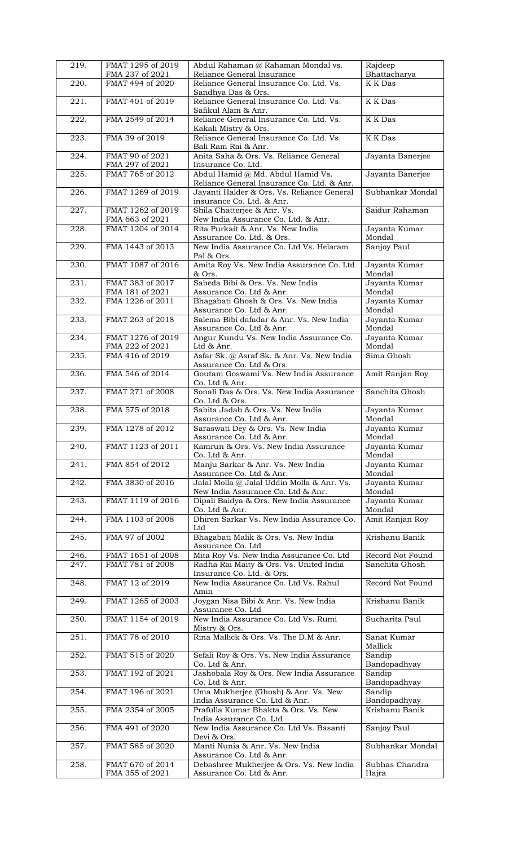| 219.               | FMAT 1295 of 2019<br>FMA 237 of 2021 | Abdul Rahaman @ Rahaman Mondal vs.<br>Reliance General Insurance                         | Rajdeep<br>Bhattacharya        |
|--------------------|--------------------------------------|------------------------------------------------------------------------------------------|--------------------------------|
| 220.               | FMAT 494 of 2020                     | Reliance General Insurance Co. Ltd. Vs.<br>Sandhya Das & Ors.                            | K K Das                        |
| 221.               | FMAT 401 of 2019                     | Reliance General Insurance Co. Ltd. Vs.                                                  | K K Das                        |
| 222.               | FMA 2549 of 2014                     | Safikul Alam & Anr.<br>Reliance General Insurance Co. Ltd. Vs.                           | K K Das                        |
| 223.               | FMA 39 of 2019                       | Kakali Mistry & Ors.<br>Reliance General Insurance Co. Ltd. Vs.                          | K K Das                        |
| 224.               | FMAT 90 of 2021                      | Bali Ram Rai & Anr.<br>Anita Saha & Ors. Vs. Reliance General                            | Jayanta Banerjee               |
| 225.               | FMA 297 of 2021<br>FMAT 765 of 2012  | Insurance Co. Ltd.<br>Abdul Hamid @ Md. Abdul Hamid Vs.                                  | Jayanta Banerjee               |
| 226.               | FMAT 1269 of 2019                    | Reliance General Insurance Co. Ltd. & Anr.<br>Jayanti Halder & Ors. Vs. Reliance General | Subhankar Mondal               |
| 227.               | FMAT 1262 of 2019                    | insurance Co. Ltd. & Anr.<br>Shila Chatterjee & Anr. Vs.                                 | Saidur Rahaman                 |
| 228.               | FMA 663 of 2021<br>FMAT 1204 of 2014 | New India Assurance Co. Ltd. & Anr.<br>Rita Purkait & Anr. Vs. New India                 | Jayanta Kumar                  |
| 229.               | FMA 1443 of 2013                     | Assurance Co. Ltd. & Ors.<br>New India Assurance Co. Ltd Vs. Helaram                     | Mondal<br>Sanjoy Paul          |
|                    |                                      | Pal & Ors.                                                                               |                                |
| 230.               | FMAT 1087 of 2016                    | Amita Roy Vs. New India Assurance Co. Ltd<br>& Ors.                                      | Jayanta Kumar<br>Mondal        |
| 231.               | FMAT 383 of 2017<br>FMA 181 of 2021  | Sabeda Bibi & Ors. Vs. New India<br>Assurance Co. Ltd & Anr.                             | Jayanta Kumar<br>Mondal        |
| 232.               | FMA 1226 of 2011                     | Bhagabati Ghosh & Ors. Vs. New India<br>Assurance Co. Ltd & Anr.                         | Jayanta Kumar<br>Mondal        |
| 233.               | FMAT 263 of 2018                     | Salema Bibi dafadar & Anr. Vs. New India                                                 | Jayanta Kumar                  |
| 234.               | FMAT 1276 of 2019                    | Assurance Co. Ltd & Anr.<br>Angur Kundu Vs. New India Assurance Co.                      | Mondal<br>Jayanta Kumar        |
| 235.               | FMA 222 of 2021<br>FMA 416 of 2019   | Ltd & Anr.<br>Asfar Sk. @ Asraf Sk. & Anr. Vs. New India                                 | Mondal<br>Sima Ghosh           |
| 236.               | FMA 546 of 2014                      | Assurance Co. Ltd & Ors.<br>Goutam Goswami Vs. New India Assurance                       | Amit Ranjan Roy                |
| 237.               | FMAT 271 of 2008                     | Co. Ltd & Anr.<br>Sonali Das & Ors. Vs. New India Assurance                              | Sanchita Ghosh                 |
| 238.               | FMA 575 of 2018                      | Co. Ltd & Ors.<br>Sabita Jadab & Ors. Vs. New India                                      | Jayanta Kumar                  |
|                    |                                      | Assurance Co. Ltd & Anr.                                                                 | Mondal<br>Jayanta Kumar        |
| 239.               | FMA 1278 of 2012                     | Saraswati Dey & Ors. Vs. New India<br>Assurance Co. Ltd & Anr.                           | Mondal                         |
| 240.               | FMAT 1123 of 2011                    | Kamrun & Ors. Vs. New India Assurance<br>Co. Ltd & Anr.                                  | Jayanta Kumar<br>Mondal        |
| 241.               | FMA 854 of 2012                      | Manju Sarkar & Anr. Vs. New India<br>Assurance Co. Ltd & Anr.                            | Jayanta Kumar<br>Mondal        |
| 242.               | FMA 3830 of 2016                     | Jalal Molla @ Jalal Uddin Molla & Anr. Vs.<br>New India Assurance Co. Ltd & Anr.         | Jayanta Kumar<br>Mondal        |
| 243.               | FMAT 1119 of 2016                    | Dipali Baidya & Ors. New India Assurance<br>Co. Ltd & Anr.                               | Jayanta Kumar<br>Mondal        |
| 244.               | FMA 1103 of 2008                     | Dhiren Sarkar Vs. New India Assurance Co.                                                | Amit Ranjan Roy                |
| $\overline{245}$ . | FMA 97 of 2002                       | Ltd<br>Bhagabati Malik & Ors. Vs. New India                                              | Krishanu Banik                 |
| 246.               | FMAT 1651 of 2008                    | Assurance Co. Ltd<br>Mita Roy Vs. New India Assurance Co. Ltd                            | Record Not Found               |
| 247.               | FMAT 781 of 2008                     | Radha Rai Maity & Ors. Vs. United India<br>Insurance Co. Ltd. & Ors.                     | Sanchita Ghosh                 |
| 248.               | FMAT 12 of 2019                      | New India Assurance Co. Ltd Vs. Rahul<br>Amin                                            | Record Not Found               |
| 249.               | FMAT 1265 of 2003                    | Joygan Nisa Bibi & Anr. Vs. New India<br>Assurance Co. Ltd                               | Krishanu Banik                 |
| 250.               | FMAT 1154 of 2019                    | New India Assurance Co. Ltd Vs. Rumi                                                     | Sucharita Paul                 |
| 251.               | FMAT 78 of 2010                      | Mistry & Ors.<br>Rina Mallick & Ors. Vs. The D.M & Anr.                                  | Sanat Kumar<br>Mallick         |
| 252.               | FMAT 515 of 2020                     | Sefali Roy & Ors. Vs. New India Assurance<br>Co. Ltd & Anr.                              | Sandip<br>Bandopadhyay         |
| 253.               | FMAT 192 of 2021                     | Jashobala Roy & Ors. New India Assurance                                                 | Sandip                         |
| 254.               | FMAT 196 of 2021                     | Co. Ltd & Anr.<br>Uma Mukherjee (Ghosh) & Anr. Vs. New                                   | Bandopadhyay<br>Sandip         |
| 255.               | FMA 2354 of 2005                     | India Assurance Co. Ltd & Anr.<br>Prafulla Kumar Bhakta & Ors. Vs. New                   | Bandopadhyay<br>Krishanu Banik |
| 256.               | FMA 491 of 2020                      | India Assurance Co. Ltd<br>New India Assurance Co. Ltd Vs. Basanti                       | Sanjoy Paul                    |
| 257.               | FMAT 585 of 2020                     | Devi & Ors.<br>Manti Nunia & Anr. Vs. New India                                          | Subhankar Mondal               |
| 258.               | FMAT 670 of 2014                     | Assurance Co. Ltd & Anr.<br>Debashree Mukherjee & Ors. Vs. New India                     | Subhas Chandra                 |
|                    | FMA 355 of 2021                      | Assurance Co. Ltd & Anr.                                                                 | Hajra                          |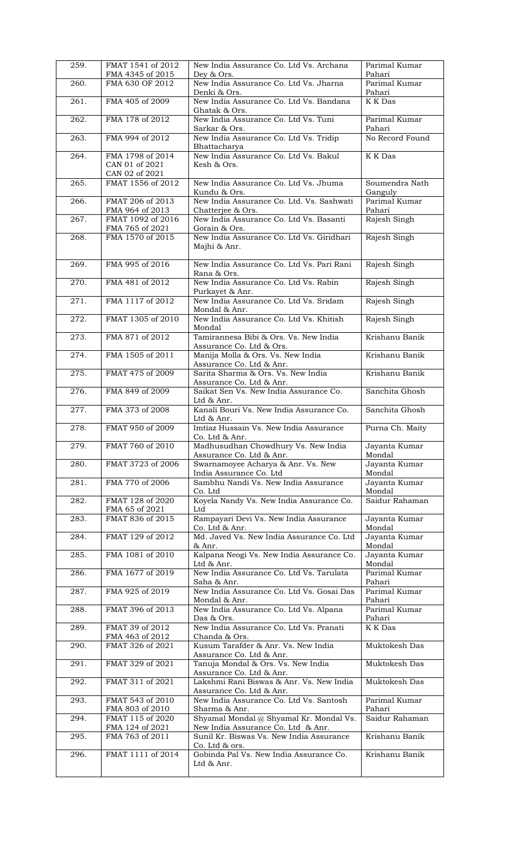| 259. | FMAT 1541 of 2012<br>FMA 4345 of 2015 | New India Assurance Co. Ltd Vs. Archana<br>Dev & Ors.                          | Parimal Kumar<br>Pahari   |
|------|---------------------------------------|--------------------------------------------------------------------------------|---------------------------|
| 260. | FMA 630 OF 2012                       | New India Assurance Co. Ltd Vs. Jharna                                         | Parimal Kumar             |
|      |                                       | Denki & Ors.                                                                   | Pahari                    |
| 261. | FMA 405 of 2009                       | New India Assurance Co. Ltd Vs. Bandana<br>Ghatak & Ors.                       | K K Das                   |
| 262. | FMA 178 of 2012                       | New India Assurance Co. Ltd Vs. Tuni<br>Sarkar & Ors.                          | Parimal Kumar<br>Pahari   |
| 263. | FMA 994 of 2012                       | New India Assurance Co. Ltd Vs. Tridip<br>Bhattacharya                         | No Record Found           |
| 264. | FMA 1798 of 2014                      | New India Assurance Co. Ltd Vs. Bakul                                          | K K Das                   |
|      | CAN 01 of 2021<br>CAN 02 of 2021      | Kesh & Ors.                                                                    |                           |
| 265. | FMAT 1556 of 2012                     | New India Assurance Co. Ltd Vs. Jhuma<br>Kundu & Ors.                          | Soumendra Nath<br>Ganguly |
| 266. | FMAT 206 of 2013<br>FMA 964 of 2013   | New India Assurance Co. Ltd. Vs. Sashwati<br>Chatterjee & Ors.                 | Parimal Kumar<br>Pahari   |
| 267. | FMAT 1092 of 2016<br>FMA 765 of 2021  | New India Assurance Co. Ltd Vs. Basanti<br>Gorain & Ors.                       | Rajesh Singh              |
| 268. | FMA 1570 of 2015                      | New India Assurance Co. Ltd Vs. Giridhari<br>Majhi & Anr.                      | Rajesh Singh              |
| 269. | FMA 995 of 2016                       | New India Assurance Co. Ltd Vs. Pari Rani<br>Rana & Ors.                       | Rajesh Singh              |
| 270. | FMA 481 of 2012                       | New India Assurance Co. Ltd Vs. Rabin<br>Purkayet & Anr.                       | Rajesh Singh              |
| 271. | FMA 1117 of 2012                      | New India Assurance Co. Ltd Vs. Sridam<br>Mondal & Anr.                        | Rajesh Singh              |
| 272. | FMAT 1305 of 2010                     | New India Assurance Co. Ltd Vs. Khitish<br>Mondal                              | Rajesh Singh              |
| 273. | FMA 871 of 2012                       | Tamirannesa Bibi & Ors. Vs. New India<br>Assurance Co. Ltd & Ors.              | Krishanu Banik            |
| 274. | FMA 1505 of 2011                      | Manija Molla & Ors. Vs. New India<br>Assurance Co. Ltd & Anr.                  | Krishanu Banik            |
| 275. | FMAT 475 of 2009                      | Sarita Sharma & Ors. Vs. New India<br>Assurance Co. Ltd & Anr.                 | Krishanu Banik            |
| 276. | FMA 849 of 2009                       | Saikat Sen Vs. New India Assurance Co.<br>Ltd & Anr.                           | Sanchita Ghosh            |
| 277. | FMA 373 of 2008                       | Kanali Bouri Vs. New India Assurance Co.<br>Ltd & Anr.                         | Sanchita Ghosh            |
| 278. | FMAT 950 of 2009                      | Imtiaz Hussain Vs. New India Assurance<br>Co. Ltd & Anr.                       | Purna Ch. Maity           |
| 279. | FMAT 760 of 2010                      | Madhusudhan Chowdhury Vs. New India<br>Assurance Co. Ltd & Anr.                | Jayanta Kumar<br>Mondal   |
| 280. | FMAT 3723 of 2006                     | Swarnamoyee Acharya & Anr. Vs. New<br>India Assurance Co. Ltd                  | Jayanta Kumar<br>Mondal   |
| 281. | FMA 770 of 2006                       | Sambhu Nandi Vs. New India Assurance<br>Co. Ltd                                | Jayanta Kumar<br>Mondal   |
| 282. | FMAT 128 of 2020<br>FMA 65 of 2021    | Koyela Nandy Vs. New India Assurance Co.<br>Ltd                                | Saidur Rahaman            |
| 283. | FMAT 836 of 2015                      | Rampayari Devi Vs. New India Assurance<br>Co. Ltd & Anr.                       | Jayanta Kumar<br>Mondal   |
| 284. | FMAT 129 of 2012                      | Md. Javed Vs. New India Assurance Co. Ltd<br>& Anr.                            | Jayanta Kumar<br>Mondal   |
| 285. | FMA 1081 of 2010                      | Kalpana Neogi Vs. New India Assurance Co.<br>Ltd & Anr.                        | Jayanta Kumar<br>Mondal   |
| 286. | FMA 1677 of 2019                      | New India Assurance Co. Ltd Vs. Tarulata<br>Saha & Anr.                        | Parimal Kumar<br>Pahari   |
| 287. | FMA 925 of 2019                       | New India Assurance Co. Ltd Vs. Gosai Das<br>Mondal & Anr.                     | Parimal Kumar<br>Pahari   |
| 288. | FMAT 396 of 2013                      | New India Assurance Co. Ltd Vs. Alpana<br>Das & Ors.                           | Parimal Kumar<br>Pahari   |
| 289. | FMAT 39 of 2012<br>FMA 463 of 2012    | New India Assurance Co. Ltd Vs. Pranati<br>Chanda & Ors.                       | K K Das                   |
| 290. | FMAT 326 of 2021                      | Kusum Tarafder & Anr. Vs. New India<br>Assurance Co. Ltd & Anr.                | Muktokesh Das             |
| 291. | FMAT 329 of 2021                      | Tanuja Mondal & Ors. Vs. New India<br>Assurance Co. Ltd & Anr.                 | Muktokesh Das             |
| 292. | FMAT 311 of 2021                      | Lakshmi Rani Biswas & Anr. Vs. New India<br>Assurance Co. Ltd & Anr.           | Muktokesh Das             |
| 293. | FMAT 543 of 2010<br>FMA 803 of 2010   | New India Assurance Co. Ltd Vs. Santosh<br>Sharma & Anr.                       | Parimal Kumar<br>Pahari   |
| 294. | FMAT 115 of 2020                      | Shyamal Mondal @ Shyamal Kr. Mondal Vs.                                        | Saidur Rahaman            |
| 295. | FMA 124 of 2021<br>FMA 763 of 2011    | New India Assurance Co. Ltd & Anr.<br>Sunil Kr. Biswas Vs. New India Assurance | Krishanu Banik            |
| 296. | FMAT 1111 of 2014                     | Co. Ltd & ors.<br>Gobinda Pal Vs. New India Assurance Co.                      | Krishanu Banik            |
|      |                                       | Ltd & Anr.                                                                     |                           |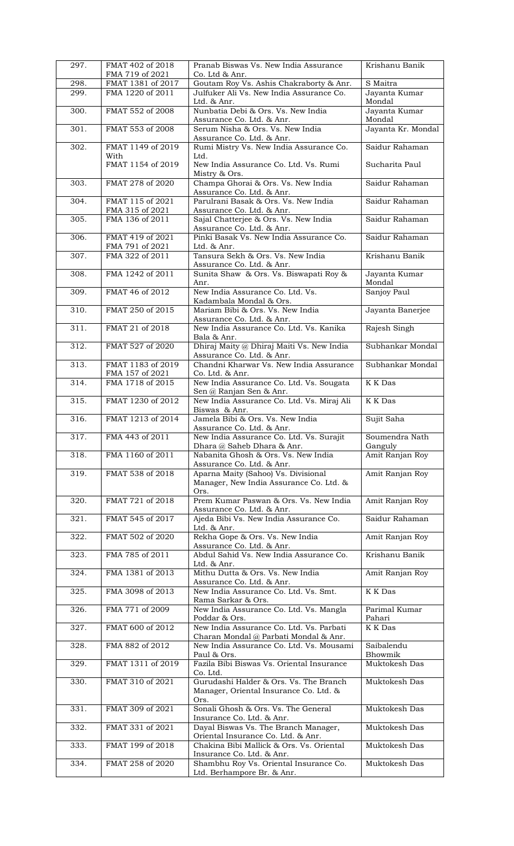| 297.               | FMAT 402 of 2018<br>FMA 719 of 2021  | Pranab Biswas Vs. New India Assurance<br>Co. Ltd & Anr.                                  | Krishanu Banik            |
|--------------------|--------------------------------------|------------------------------------------------------------------------------------------|---------------------------|
| 298.               | FMAT 1381 of 2017                    | Goutam Roy Vs. Ashis Chakraborty & Anr.                                                  | S Maitra                  |
| 299.               | FMA 1220 of 2011                     | Julfuker Ali Vs. New India Assurance Co.<br>Ltd. & Anr.                                  | Jayanta Kumar<br>Mondal   |
| 300.               | FMAT 552 of 2008                     | Nunbatia Debi & Ors. Vs. New India<br>Assurance Co. Ltd. & Anr.                          | Jayanta Kumar<br>Mondal   |
| 301.               | FMAT 553 of 2008                     | Serum Nisha & Ors. Vs. New India<br>Assurance Co. Ltd. & Anr.                            | Jayanta Kr. Mondal        |
| 302.               | FMAT 1149 of 2019<br>With            | Rumi Mistry Vs. New India Assurance Co.<br>Ltd.                                          | Saidur Rahaman            |
|                    | FMAT 1154 of 2019                    | New India Assurance Co. Ltd. Vs. Rumi<br>Mistry & Ors.                                   | Sucharita Paul            |
| 303.               | FMAT 278 of 2020                     | Champa Ghorai & Ors. Vs. New India<br>Assurance Co. Ltd. & Anr.                          | Saidur Rahaman            |
| 304.               | FMAT 115 of 2021<br>FMA 315 of 2021  | Parulrani Basak & Ors. Vs. New India<br>Assurance Co. Ltd. & Anr.                        | Saidur Rahaman            |
| 305.               | FMA 136 of 2011                      | Sajal Chatterjee & Ors. Vs. New India<br>Assurance Co. Ltd. & Anr.                       | Saidur Rahaman            |
| 306.               | FMAT 419 of 2021<br>FMA 791 of 2021  | Pinki Basak Vs. New India Assurance Co.<br>Ltd. & Anr.                                   | Saidur Rahaman            |
| 307.               | FMA 322 of 2011                      | Tansura Sekh & Ors. Vs. New India<br>Assurance Co. Ltd. & Anr.                           | Krishanu Banik            |
| 308.               | FMA 1242 of 2011                     | Sunita Shaw & Ors. Vs. Biswapati Roy &<br>Anr.                                           | Jayanta Kumar<br>Mondal   |
| 309.               | FMAT 46 of 2012                      | New India Assurance Co. Ltd. Vs.<br>Kadambala Mondal & Ors.                              | Sanjoy Paul               |
| 310.               | FMAT 250 of 2015                     | Mariam Bibi & Ors. Vs. New India<br>Assurance Co. Ltd. & Anr.                            | Jayanta Banerjee          |
| 311.               | FMAT 21 of 2018                      | New India Assurance Co. Ltd. Vs. Kanika<br>Bala & Anr.                                   | Rajesh Singh              |
| 312.               | FMAT 527 of 2020                     | Dhiraj Maity @ Dhiraj Maiti Vs. New India<br>Assurance Co. Ltd. & Anr.                   | Subhankar Mondal          |
| 313.               | FMAT 1183 of 2019<br>FMA 157 of 2021 | Chandni Kharwar Vs. New India Assurance<br>Co. Ltd. & Anr.                               | Subhankar Mondal          |
| 314.               | FMA 1718 of 2015                     | New India Assurance Co. Ltd. Vs. Sougata<br>Sen @ Ranjan Sen & Anr.                      | K K Das                   |
| 315.               | FMAT 1230 of 2012                    | New India Assurance Co. Ltd. Vs. Miraj Ali<br>Biswas & Anr.                              | K K Das                   |
| 316.               | FMAT 1213 of 2014                    | Jamela Bibi & Ors. Vs. New India<br>Assurance Co. Ltd. & Anr.                            | Sujit Saha                |
| $\overline{317}$ . | FMA 443 of 2011                      | New India Assurance Co. Ltd. Vs. Surajit<br>Dhara @ Saheb Dhara & Anr.                   | Soumendra Nath<br>Ganguly |
| 318.               | FMA 1160 of 2011                     | Nabanita Ghosh & Ors. Vs. New India<br>Assurance Co. Ltd. & Anr.                         | Amit Ranjan Roy           |
| 319.               | FMAT 538 of 2018                     | Aparna Maity (Sahoo) Vs. Divisional<br>Manager, New India Assurance Co. Ltd. &<br>Ors.   | Amit Ranjan Roy           |
| 320.               | FMAT 721 of 2018                     | Prem Kumar Paswan & Ors. Vs. New India<br>Assurance Co. Ltd. & Anr.                      | Amit Ranjan Roy           |
| 321.               | FMAT 545 of 2017                     | Ajeda Bibi Vs. New India Assurance Co.<br>Ltd. & Anr.                                    | Saidur Rahaman            |
| 322.               | FMAT 502 of 2020                     | Rekha Gope & Ors. Vs. New India<br>Assurance Co. Ltd. & Anr.                             | Amit Ranjan Roy           |
| 323.               | FMA 785 of 2011                      | Abdul Sahid Vs. New India Assurance Co.<br>Ltd. & Anr.                                   | Krishanu Banik            |
| 324.               | FMA 1381 of 2013                     | Mithu Dutta & Ors. Vs. New India<br>Assurance Co. Ltd. & Anr.                            | Amit Ranjan Roy           |
| 325.               | FMA 3098 of 2013                     | New India Assurance Co. Ltd. Vs. Smt.<br>Rama Sarkar & Ors.                              | K K Das                   |
| 326.               | FMA 771 of 2009                      | New India Assurance Co. Ltd. Vs. Mangla<br>Poddar & Ors.                                 | Parimal Kumar<br>Pahari   |
| 327.               | FMAT 600 of 2012                     | New India Assurance Co. Ltd. Vs. Parbati<br>Charan Mondal @ Parbati Mondal & Anr.        | $\overline{K}$ K Das      |
| 328.               | FMA 882 of 2012                      | New India Assurance Co. Ltd. Vs. Mousami<br>Paul & Ors.                                  | Saibalendu<br>Bhowmik     |
| 329.               | FMAT 1311 of 2019                    | Fazila Bibi Biswas Vs. Oriental Insurance<br>Co. Ltd.                                    | Muktokesh Das             |
| 330.               | FMAT 310 of 2021                     | Gurudashi Halder & Ors. Vs. The Branch<br>Manager, Oriental Insurance Co. Ltd. &<br>Ors. | Muktokesh Das             |
| 331.               | FMAT 309 of 2021                     | Sonali Ghosh & Ors. Vs. The General<br>Insurance Co. Ltd. & Anr.                         | Muktokesh Das             |
| 332.               | FMAT 331 of 2021                     | Dayal Biswas Vs. The Branch Manager,<br>Oriental Insurance Co. Ltd. & Anr.               | Muktokesh Das             |
| 333.               | FMAT 199 of 2018                     | Chakina Bibi Mallick & Ors. Vs. Oriental<br>Insurance Co. Ltd. & Anr.                    | Muktokesh Das             |
| 334.               | FMAT 258 of 2020                     | Shambhu Roy Vs. Oriental Insurance Co.<br>Ltd. Berhampore Br. & Anr.                     | Muktokesh Das             |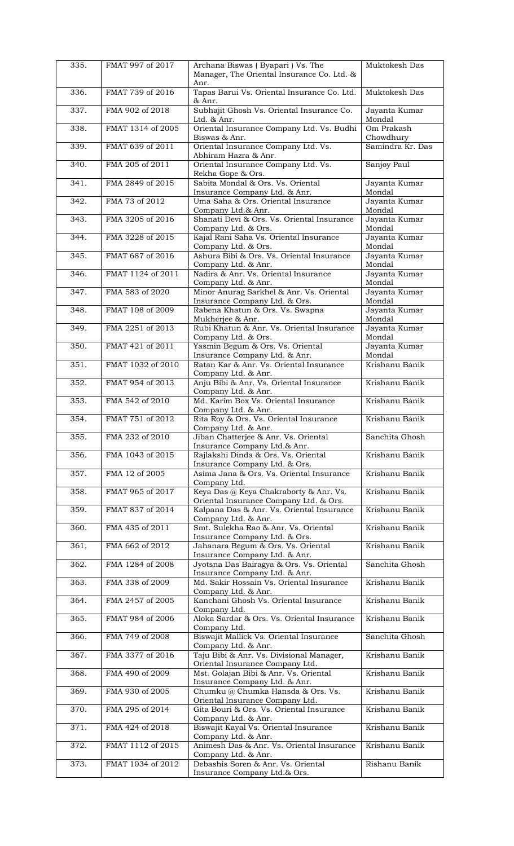| 335. | FMAT 997 of 2017  | Archana Biswas (Byapari) Vs. The<br>Manager, The Oriental Insurance Co. Ltd. &<br>Anr. | Muktokesh Das           |
|------|-------------------|----------------------------------------------------------------------------------------|-------------------------|
| 336. | FMAT 739 of 2016  | Tapas Barui Vs. Oriental Insurance Co. Ltd.<br>& Anr.                                  | Muktokesh Das           |
| 337. | FMA 902 of 2018   | Subhajit Ghosh Vs. Oriental Insurance Co.<br>Ltd. & Anr.                               | Jayanta Kumar<br>Mondal |
| 338. | FMAT 1314 of 2005 | Oriental Insurance Company Ltd. Vs. Budhi<br>Biswas & Anr.                             | Om Prakash<br>Chowdhury |
| 339. | FMAT 639 of 2011  | Oriental Insurance Company Ltd. Vs.<br>Abhiram Hazra & Anr.                            | Samindra Kr. Das        |
| 340. | FMA 205 of 2011   | Oriental Insurance Company Ltd. Vs.<br>Rekha Gope & Ors.                               | Sanjoy Paul             |
| 341. | FMA 2849 of 2015  | Sabita Mondal & Ors. Vs. Oriental<br>Insurance Company Ltd. & Anr.                     | Jayanta Kumar<br>Mondal |
| 342. | FMA 73 of 2012    | Uma Saha & Ors. Oriental Insurance<br>Company Ltd.& Anr.                               | Jayanta Kumar<br>Mondal |
| 343. | FMA 3205 of 2016  | Shanati Devi & Ors. Vs. Oriental Insurance<br>Company Ltd. & Ors.                      | Jayanta Kumar<br>Mondal |
| 344. | FMA 3228 of 2015  | Kajal Rani Saha Vs. Oriental Insurance<br>Company Ltd. & Ors.                          | Jayanta Kumar<br>Mondal |
| 345. | FMAT 687 of 2016  | Ashura Bibi & Ors. Vs. Oriental Insurance<br>Company Ltd. & Anr.                       | Jayanta Kumar<br>Mondal |
| 346. | FMAT 1124 of 2011 | Nadira & Anr. Vs. Oriental Insurance<br>Company Ltd. & Anr.                            | Jayanta Kumar<br>Mondal |
| 347. | FMA 583 of 2020   | Minor Anurag Sarkhel & Anr. Vs. Oriental<br>Insurance Company Ltd. & Ors.              | Jayanta Kumar<br>Mondal |
| 348. | FMAT 108 of 2009  | Rabena Khatun & Ors. Vs. Swapna<br>Mukherjee & Anr.                                    | Jayanta Kumar<br>Mondal |
| 349. | FMA 2251 of 2013  | Rubi Khatun & Anr. Vs. Oriental Insurance<br>Company Ltd. & Ors.                       | Jayanta Kumar<br>Mondal |
| 350. | FMAT 421 of 2011  | Yasmin Begum & Ors. Vs. Oriental<br>Insurance Company Ltd. & Anr.                      | Jayanta Kumar<br>Mondal |
| 351. | FMAT 1032 of 2010 | Ratan Kar & Anr. Vs. Oriental Insurance<br>Company Ltd. & Anr.                         | Krishanu Banik          |
| 352. | FMAT 954 of 2013  | Anju Bibi & Anr. Vs. Oriental Insurance<br>Company Ltd. & Anr.                         | Krishanu Banik          |
| 353. | FMA 542 of 2010   | Md. Karim Box Vs. Oriental Insurance<br>Company Ltd. & Anr.                            | Krishanu Banik          |
| 354. | FMAT 751 of 2012  | Rita Roy & Ors. Vs. Oriental Insurance<br>Company Ltd. & Anr.                          | Krishanu Banik          |
| 355. | FMA 232 of 2010   | Jiban Chatterjee & Anr. Vs. Oriental<br>Insurance Company Ltd.& Anr.                   | Sanchita Ghosh          |
| 356. | FMA 1043 of 2015  | Rajlakshi Dinda & Ors. Vs. Oriental<br>Insurance Company Ltd. & Ors.                   | Krishanu Banik          |
| 357. | FMA 12 of 2005    | Asima Jana & Ors. Vs. Oriental Insurance<br>Company Ltd.                               | Krishanu Banik          |
| 358. | FMAT 965 of 2017  | Keya Das @ Keya Chakraborty & Anr. Vs.<br>Oriental Insurance Company Ltd. & Ors.       | Krishanu Banik          |
| 359. | FMAT 837 of 2014  | Kalpana Das & Anr. Vs. Oriental Insurance<br>Company Ltd. & Anr.                       | Krishanu Banik          |
| 360. | FMA 435 of 2011   | Smt. Sulekha Rao & Anr. Vs. Oriental<br>Insurance Company Ltd. & Ors.                  | Krishanu Banik          |
| 361. | FMA 662 of 2012   | Jahanara Begum & Ors. Vs. Oriental<br>Insurance Company Ltd. & Anr.                    | Krishanu Banik          |
| 362. | FMA 1284 of 2008  | Jyotsna Das Bairagya & Ors. Vs. Oriental<br>Insurance Company Ltd. & Anr.              | Sanchita Ghosh          |
| 363. | FMA 338 of 2009   | Md. Sakir Hossain Vs. Oriental Insurance<br>Company Ltd. & Anr.                        | Krishanu Banik          |
| 364. | FMA 2457 of 2005  | Kanchani Ghosh Vs. Oriental Insurance<br>Company Ltd.                                  | Krishanu Banik          |
| 365. | FMAT 984 of 2006  | Aloka Sardar & Ors. Vs. Oriental Insurance<br>Company Ltd.                             | Krishanu Banik          |
| 366. | FMA 749 of 2008   | Biswajit Mallick Vs. Oriental Insurance<br>Company Ltd. & Anr.                         | Sanchita Ghosh          |
| 367. | FMA 3377 of 2016  | Taju Bibi & Anr. Vs. Divisional Manager,<br>Oriental Insurance Company Ltd.            | Krishanu Banik          |
| 368. | FMA 490 of 2009   | Mst. Golajan Bibi & Anr. Vs. Oriental<br>Insurance Company Ltd. & Anr.                 | Krishanu Banik          |
| 369. | FMA 930 of 2005   | Chumku @ Chumka Hansda & Ors. Vs.<br>Oriental Insurance Company Ltd.                   | Krishanu Banik          |
| 370. | FMA 295 of 2014   | Gita Bouri & Ors. Vs. Oriental Insurance<br>Company Ltd. & Anr.                        | Krishanu Banik          |
| 371. | FMA 424 of 2018   | Biswajit Kayal Vs. Oriental Insurance<br>Company Ltd. & Anr.                           | Krishanu Banik          |
| 372. | FMAT 1112 of 2015 | Animesh Das & Anr. Vs. Oriental Insurance<br>Company Ltd. & Anr.                       | Krishanu Banik          |
| 373. | FMAT 1034 of 2012 | Debashis Soren & Anr. Vs. Oriental<br>Insurance Company Ltd.& Ors.                     | Rishanu Banik           |
|      |                   |                                                                                        |                         |